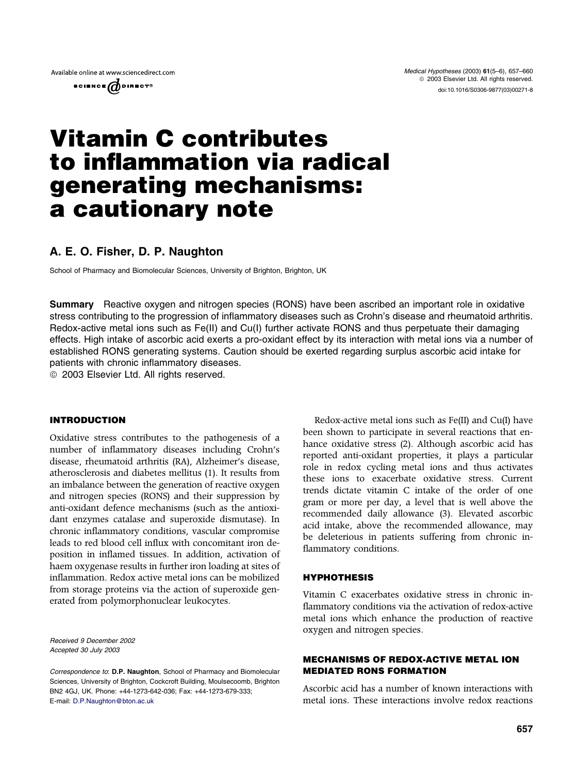

# Vitamin C contributes to inflammation via radical generating mechanisms: a cautionary note

# A. E. O. Fisher, D. P. Naughton

School of Pharmacy and Biomolecular Sciences, University of Brighton, Brighton, UK

Summary Reactive oxygen and nitrogen species (RONS) have been ascribed an important role in oxidative stress contributing to the progression of inflammatory diseases such as Crohn's disease and rheumatoid arthritis. Redox-active metal ions such as Fe(II) and Cu(I) further activate RONS and thus perpetuate their damaging effects. High intake of ascorbic acid exerts a pro-oxidant effect by its interaction with metal ions via a number of established RONS generating systems. Caution should be exerted regarding surplus ascorbic acid intake for patients with chronic inflammatory diseases.

<sup>©</sup> 2003 Elsevier Ltd. All rights reserved.

## INTRODUCTION

Oxidative stress contributes to the pathogenesis of a number of inflammatory diseases including Crohn's disease, rheumatoid arthritis (RA), Alzheimer's disease, atherosclerosis and diabetes mellitus (1). It results from an imbalance between the generation of reactive oxygen and nitrogen species (RONS) and their suppression by anti-oxidant defence mechanisms (such as the antioxidant enzymes catalase and superoxide dismutase). In chronic inflammatory conditions, vascular compromise leads to red blood cell influx with concomitant iron deposition in inflamed tissues. In addition, activation of haem oxygenase results in further iron loading at sites of inflammation. Redox active metal ions can be mobilized from storage proteins via the action of superoxide generated from polymorphonuclear leukocytes.

Received 9 December 2002 Accepted 30 July 2003

Correspondence to: D.P. Naughton, School of Pharmacy and Biomolecular Sciences, University of Brighton, Cockcroft Building, Moulsecoomb, Brighton BN2 4GJ, UK. Phone: +44-1273-642-036; Fax: +44-1273-679-333; E-mail: [D.P.Naughton@bton.ac.uk](mail to: D.P.Naughton@bton.ac.uk)

Redox-active metal ions such as Fe(II) and Cu(I) have been shown to participate in several reactions that enhance oxidative stress (2). Although ascorbic acid has reported anti-oxidant properties, it plays a particular role in redox cycling metal ions and thus activates these ions to exacerbate oxidative stress. Current trends dictate vitamin C intake of the order of one gram or more per day, a level that is well above the recommended daily allowance (3). Elevated ascorbic acid intake, above the recommended allowance, may be deleterious in patients suffering from chronic inflammatory conditions.

## HYPHOTHESIS

Vitamin C exacerbates oxidative stress in chronic inflammatory conditions via the activation of redox-active metal ions which enhance the production of reactive oxygen and nitrogen species.

# MECHANISMS OF REDOX-ACTIVE METAL ION MEDIATED RONS FORMATION

Ascorbic acid has a number of known interactions with metal ions. These interactions involve redox reactions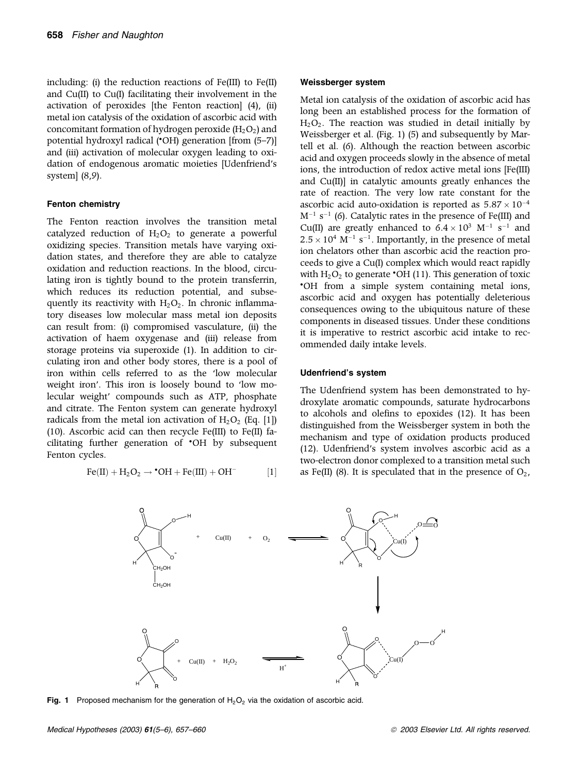including: (i) the reduction reactions of Fe(III) to Fe(II) and Cu(II) to Cu(I) facilitating their involvement in the activation of peroxides [the Fenton reaction] (4), (ii) metal ion catalysis of the oxidation of ascorbic acid with concomitant formation of hydrogen peroxide  $(H_2O_2)$  and potential hydroxyl radical ('OH) generation [from (5-7)] and (iii) activation of molecular oxygen leading to oxidation of endogenous aromatic moieties [Udenfriend's system] (8,9).

#### Fenton chemistry

The Fenton reaction involves the transition metal catalyzed reduction of  $H_2O_2$  to generate a powerful oxidizing species. Transition metals have varying oxidation states, and therefore they are able to catalyze oxidation and reduction reactions. In the blood, circulating iron is tightly bound to the protein transferrin, which reduces its reduction potential, and subsequently its reactivity with  $H_2O_2$ . In chronic inflammatory diseases low molecular mass metal ion deposits can result from: (i) compromised vasculature, (ii) the activation of haem oxygenase and (iii) release from storage proteins via superoxide (1). In addition to circulating iron and other body stores, there is a pool of iron within cells referred to as the 'low molecular weight iron'. This iron is loosely bound to 'low molecular weight' compounds such as ATP, phosphate and citrate. The Fenton system can generate hydroxyl radicals from the metal ion activation of  $H_2O_2$  (Eq. [1]) (10). Ascorbic acid can then recycle Fe(III) to Fe(II) facilitating further generation of 'OH by subsequent Fenton cycles.

$$
Fe (II) + H_2 O_2 \rightarrow {}^\bullet OH + Fe (III) + OH^- \qquad \qquad [1]
$$

#### Weissberger system

Metal ion catalysis of the oxidation of ascorbic acid has long been an established process for the formation of  $H<sub>2</sub>O<sub>2</sub>$ . The reaction was studied in detail initially by Weissberger et al. (Fig. 1) (5) and subsequently by Martell et al. (6). Although the reaction between ascorbic acid and oxygen proceeds slowly in the absence of metal ions, the introduction of redox active metal ions [Fe(III) and Cu(II)] in catalytic amounts greatly enhances the rate of reaction. The very low rate constant for the ascorbic acid auto-oxidation is reported as  $5.87 \times 10^{-4}$  $\mathrm{M}^{-1}$  s<sup>-1</sup> (6). Catalytic rates in the presence of Fe(III) and Cu(II) are greatly enhanced to  $6.4 \times 10^3$  M<sup>-1</sup> s<sup>-1</sup> and  $2.5 \times 10^4$  M<sup>-1</sup> s<sup>-1</sup>. Importantly, in the presence of metal ion chelators other than ascorbic acid the reaction proceeds to give a Cu(I) complex which would react rapidly with  $H_2O_2$  to generate 'OH (11). This generation of toxic OH from a simple system containing metal ions, ascorbic acid and oxygen has potentially deleterious consequences owing to the ubiquitous nature of these components in diseased tissues. Under these conditions it is imperative to restrict ascorbic acid intake to recommended daily intake levels.

#### Udenfriend's system

The Udenfriend system has been demonstrated to hydroxylate aromatic compounds, saturate hydrocarbons to alcohols and olefins to epoxides (12). It has been distinguished from the Weissberger system in both the mechanism and type of oxidation products produced (12). Udenfriend's system involves ascorbic acid as a two-electron donor complexed to a transition metal such as Fe(II) (8). It is speculated that in the presence of  $O_2$ ,



Fig. 1 Proposed mechanism for the generation of  $H_2O_2$  via the oxidation of ascorbic acid.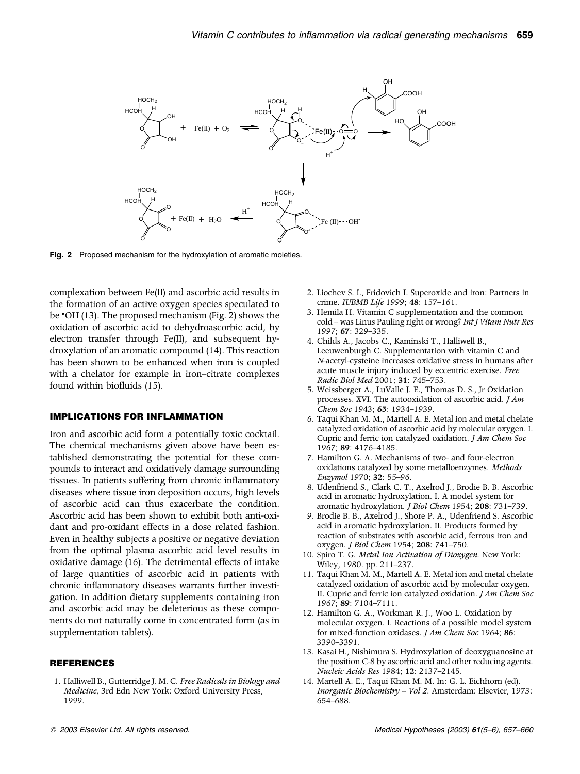

Fig. 2 Proposed mechanism for the hydroxylation of aromatic moieties.

complexation between Fe(II) and ascorbic acid results in the formation of an active oxygen species speculated to be  $\cdot$ OH (13). The proposed mechanism (Fig. 2) shows the oxidation of ascorbic acid to dehydroascorbic acid, by electron transfer through Fe(II), and subsequent hydroxylation of an aromatic compound (14). This reaction has been shown to be enhanced when iron is coupled with a chelator for example in iron–citrate complexes found within biofluids (15).

#### IMPLICATIONS FOR INFLAMMATION

Iron and ascorbic acid form a potentially toxic cocktail. The chemical mechanisms given above have been established demonstrating the potential for these compounds to interact and oxidatively damage surrounding tissues. In patients suffering from chronic inflammatory diseases where tissue iron deposition occurs, high levels of ascorbic acid can thus exacerbate the condition. Ascorbic acid has been shown to exhibit both anti-oxidant and pro-oxidant effects in a dose related fashion. Even in healthy subjects a positive or negative deviation from the optimal plasma ascorbic acid level results in oxidative damage (16). The detrimental effects of intake of large quantities of ascorbic acid in patients with chronic inflammatory diseases warrants further investigation. In addition dietary supplements containing iron and ascorbic acid may be deleterious as these components do not naturally come in concentrated form (as in supplementation tablets).

#### **REFERENCES**

1. Halliwell B., Gutterridge J. M. C. Free Radicals in Biology and Medicine, 3rd Edn New York: Oxford University Press, 1999.

- 2. Liochev S. I., Fridovich I. Superoxide and iron: Partners in crime. IUBMB Life 1999; 48: 157–161.
- 3. Hemila H. Vitamin C supplementation and the common cold – was Linus Pauling right or wrong? Int J Vitam Nutr Res 1997; 67: 329–335.
- 4. Childs A., Jacobs C., Kaminski T., Halliwell B., Leeuwenburgh C. Supplementation with vitamin C and N-acetyl-cysteine increases oxidative stress in humans after acute muscle injury induced by eccentric exercise. Free Radic Biol Med 2001; 31: 745–753.
- 5. Weissberger A., LuValle J. E., Thomas D. S., Jr Oxidation processes. XVI. The autooxidation of ascorbic acid. J Am Chem Soc 1943; 65: 1934–1939.
- 6. Taqui Khan M. M., Martell A. E. Metal ion and metal chelate catalyzed oxidation of ascorbic acid by molecular oxygen. I. Cupric and ferric ion catalyzed oxidation. J Am Chem Soc 1967; 89: 4176–4185.
- 7. Hamilton G. A. Mechanisms of two- and four-electron oxidations catalyzed by some metalloenzymes. Methods Enzymol 1970; 32: 55–96.
- 8. Udenfriend S., Clark C. T., Axelrod J., Brodie B. B. Ascorbic acid in aromatic hydroxylation. I. A model system for aromatic hydroxylation. J Biol Chem 1954; 208: 731–739.
- 9. Brodie B. B., Axelrod J., Shore P. A., Udenfriend S. Ascorbic acid in aromatic hydroxylation. II. Products formed by reaction of substrates with ascorbic acid, ferrous iron and oxygen. J Biol Chem 1954; 208: 741–750.
- 10. Spiro T. G. Metal Ion Activation of Dioxygen. New York: Wiley, 1980. pp. 211–237.
- 11. Taqui Khan M. M., Martell A. E. Metal ion and metal chelate catalyzed oxidation of ascorbic acid by molecular oxygen. II. Cupric and ferric ion catalyzed oxidation. J Am Chem Soc 1967; 89: 7104–7111.
- 12. Hamilton G. A., Workman R. J., Woo L. Oxidation by molecular oxygen. I. Reactions of a possible model system for mixed-function oxidases. J Am Chem Soc 1964; 86: 3390–3391.
- 13. Kasai H., Nishimura S. Hydroxylation of deoxyguanosine at the position C-8 by ascorbic acid and other reducing agents. Nucleic Acids Res 1984; 12: 2137–2145.
- 14. Martell A. E., Taqui Khan M. M. In: G. L. Eichhorn (ed). Inorganic Biochemistry – Vol 2. Amsterdam: Elsevier, 1973: 654–688.